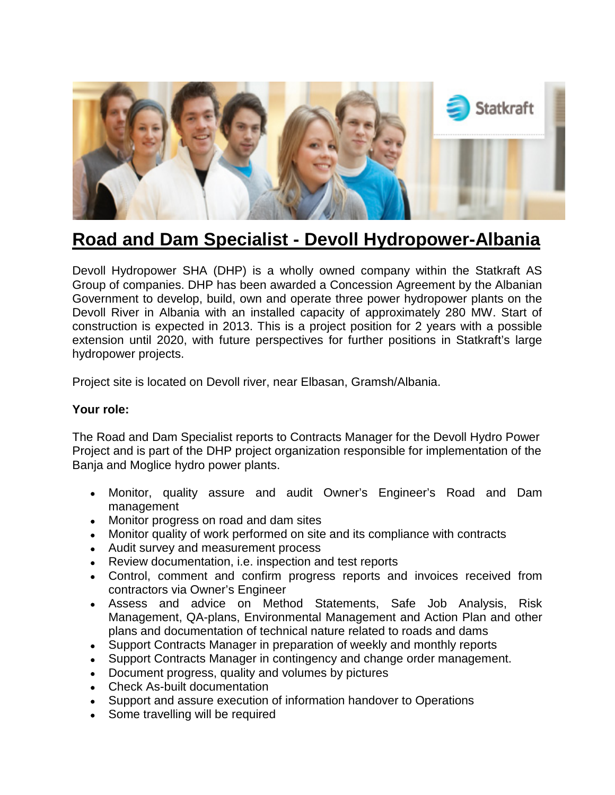

## **Road and Dam Specialist - Devoll Hydropower-Albania**

Devoll Hydropower SHA (DHP) is a wholly owned company within the Statkraft AS Group of companies. DHP has been awarded a Concession Agreement by the Albanian Government to develop, build, own and operate three power hydropower plants on the Devoll River in Albania with an installed capacity of approximately 280 MW. Start of construction is expected in 2013. This is a project position for 2 years with a possible extension until 2020, with future perspectives for further positions in Statkraft's large hydropower projects.

Project site is located on Devoll river, near Elbasan, Gramsh/Albania.

## **Your role:**

The Road and Dam Specialist reports to Contracts Manager for the Devoll Hydro Power Project and is part of the DHP project organization responsible for implementation of the Banja and Moglice hydro power plants.

- Monitor, quality assure and audit Owner's Engineer's Road and Dam management
- Monitor progress on road and dam sites
- Monitor quality of work performed on site and its compliance with contracts
- Audit survey and measurement process
- Review documentation, i.e. inspection and test reports
- Control, comment and confirm progress reports and invoices received from contractors via Owner's Engineer
- Assess and advice on Method Statements, Safe Job Analysis, Risk Management, QA-plans, Environmental Management and Action Plan and other plans and documentation of technical nature related to roads and dams
- Support Contracts Manager in preparation of weekly and monthly reports
- Support Contracts Manager in contingency and change order management.
- Document progress, quality and volumes by pictures
- Check As-built documentation
- Support and assure execution of information handover to Operations
- Some travelling will be required